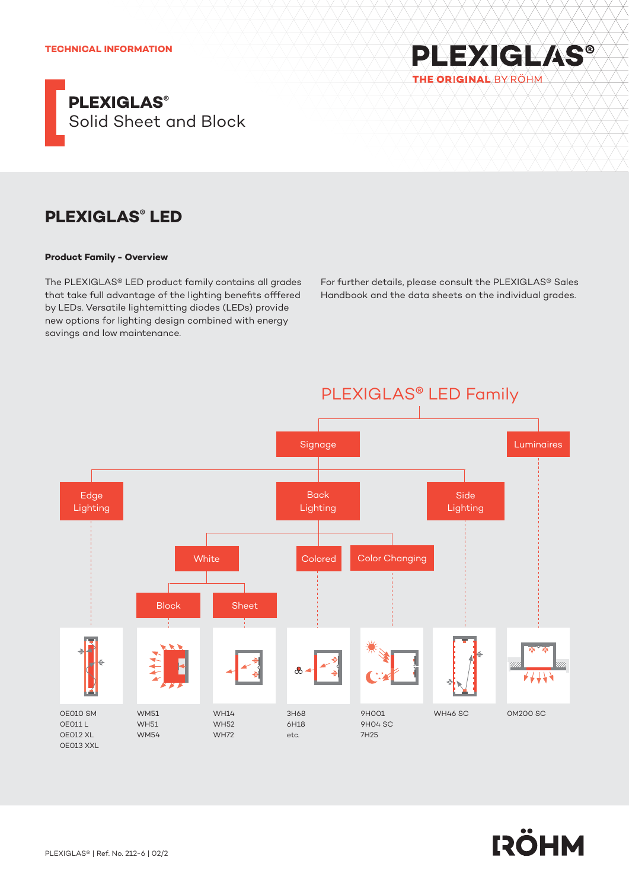

# **PLEXIGLAS® LED**

### **Product Family - Overview**

The PLEXIGLAS® LED product family contains all grades that take full advantage of the lighting benefits offfered by LEDs. Versatile lightemitting diodes (LEDs) provide new options for lighting design combined with energy savings and low maintenance.

For further details, please consult the PLEXIGLAS® Sales Handbook and the data sheets on the individual grades.

**PLEXIGLAS®** 

THE ORIGINAL BY ROHM